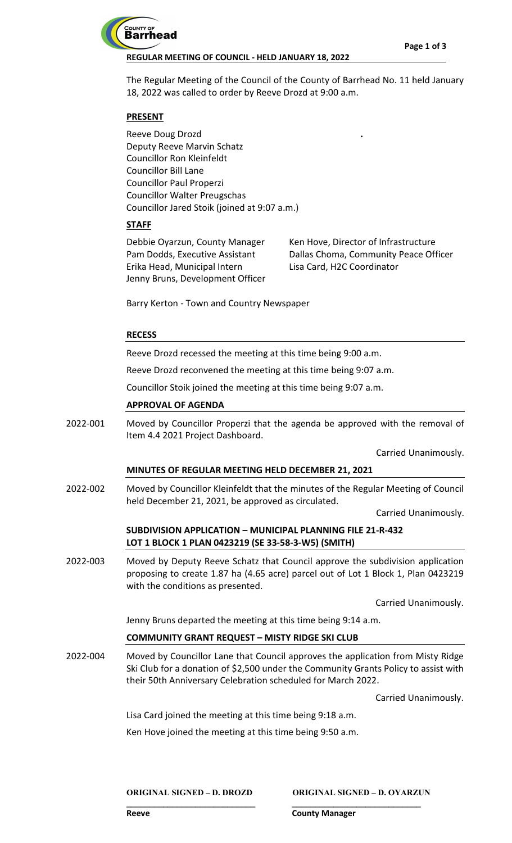

## **REGULAR MEETING OF COUNCIL - HELD JANUARY 18, 2022**

The Regular Meeting of the Council of the County of Barrhead No. 11 held January 18, 2022 was called to order by Reeve Drozd at 9:00 a.m.

## **PRESENT**

Reeve Doug Drozd Deputy Reeve Marvin Schatz Councillor Ron Kleinfeldt Councillor Bill Lane Councillor Paul Properzi Councillor Walter Preugschas Councillor Jared Stoik (joined at 9:07 a.m.)

# **STAFF**

Debbie Oyarzun, County Manager Pam Dodds, Executive Assistant Erika Head, Municipal Intern Jenny Bruns, Development Officer Ken Hove, Director of Infrastructure Dallas Choma, Community Peace Officer Lisa Card, H2C Coordinator

**.**

Barry Kerton - Town and Country Newspaper

## **RECESS**

Reeve Drozd recessed the meeting at this time being 9:00 a.m.

Reeve Drozd reconvened the meeting at this time being 9:07 a.m.

Councillor Stoik joined the meeting at this time being 9:07 a.m.

## **APPROVAL OF AGENDA**

Moved by Councillor Properzi that the agenda be approved with the removal of Item 4.4 2021 Project Dashboard. 2022-001

Carried Unanimously.

## **MINUTES OF REGULAR MEETING HELD DECEMBER 21, 2021**

Moved by Councillor Kleinfeldt that the minutes of the Regular Meeting of Council held December 21, 2021, be approved as circulated. 2022-002

Carried Unanimously.

## **SUBDIVISION APPLICATION – MUNICIPAL PLANNING FILE 21-R-432 LOT 1 BLOCK 1 PLAN 0423219 (SE 33-58-3-W5) (SMITH)**

Moved by Deputy Reeve Schatz that Council approve the subdivision application proposing to create 1.87 ha (4.65 acre) parcel out of Lot 1 Block 1, Plan 0423219 with the conditions as presented. 2022-003

Carried Unanimously.

Jenny Bruns departed the meeting at this time being 9:14 a.m.

## **COMMUNITY GRANT REQUEST – MISTY RIDGE SKI CLUB**

Moved by Councillor Lane that Council approves the application from Misty Ridge Ski Club for a donation of \$2,500 under the Community Grants Policy to assist with their 50th Anniversary Celebration scheduled for March 2022. 2022-004

**\_\_\_\_\_\_\_\_\_\_\_\_\_\_\_\_\_\_\_\_\_\_\_\_\_\_\_\_ \_\_\_\_\_\_\_\_\_\_\_\_\_\_\_\_\_\_\_\_\_\_\_\_\_\_\_\_**

Carried Unanimously.

Lisa Card joined the meeting at this time being 9:18 a.m.

Ken Hove joined the meeting at this time being 9:50 a.m.

**ORIGINAL SIGNED – D. DROZD ORIGINAL SIGNED – D. OYARZUN**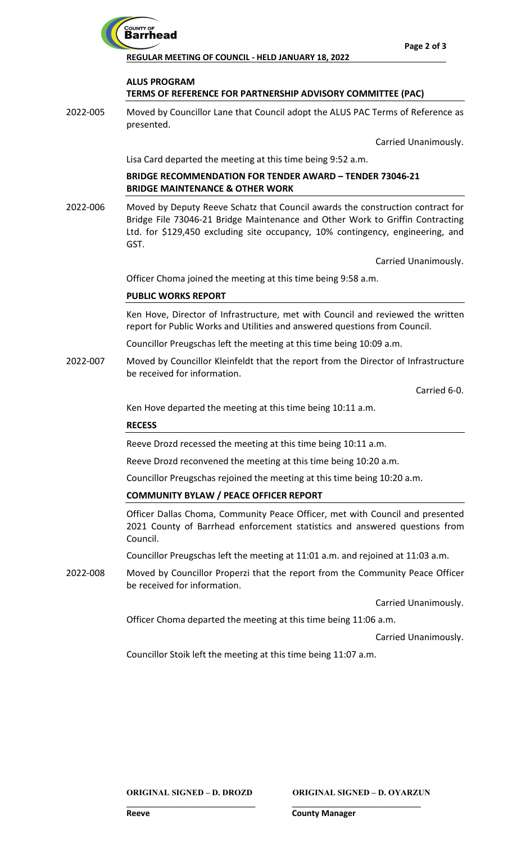

**REGULAR MEETING OF COUNCIL - HELD JANUARY 18, 2022**

# **ALUS PROGRAM TERMS OF REFERENCE FOR PARTNERSHIP ADVISORY COMMITTEE (PAC)**

Moved by Councillor Lane that Council adopt the ALUS PAC Terms of Reference as presented. 2022-005

Carried Unanimously.

Lisa Card departed the meeting at this time being 9:52 a.m.

## **BRIDGE RECOMMENDATION FOR TENDER AWARD – TENDER 73046-21 BRIDGE MAINTENANCE & OTHER WORK**

Moved by Deputy Reeve Schatz that Council awards the construction contract for Bridge File 73046-21 Bridge Maintenance and Other Work to Griffin Contracting Ltd. for \$129,450 excluding site occupancy, 10% contingency, engineering, and GST. 2022-006

Carried Unanimously.

Officer Choma joined the meeting at this time being 9:58 a.m.

# **PUBLIC WORKS REPORT**

Ken Hove, Director of Infrastructure, met with Council and reviewed the written report for Public Works and Utilities and answered questions from Council.

Councillor Preugschas left the meeting at this time being 10:09 a.m.

Moved by Councillor Kleinfeldt that the report from the Director of Infrastructure be received for information. 2022-007

Carried 6-0.

Ken Hove departed the meeting at this time being 10:11 a.m.

## **RECESS**

Reeve Drozd recessed the meeting at this time being 10:11 a.m.

Reeve Drozd reconvened the meeting at this time being 10:20 a.m.

Councillor Preugschas rejoined the meeting at this time being 10:20 a.m.

## **COMMUNITY BYLAW / PEACE OFFICER REPORT**

Officer Dallas Choma, Community Peace Officer, met with Council and presented 2021 County of Barrhead enforcement statistics and answered questions from Council.

Councillor Preugschas left the meeting at 11:01 a.m. and rejoined at 11:03 a.m.

Moved by Councillor Properzi that the report from the Community Peace Officer be received for information. 2022-008

Carried Unanimously.

Officer Choma departed the meeting at this time being 11:06 a.m.

**\_\_\_\_\_\_\_\_\_\_\_\_\_\_\_\_\_\_\_\_\_\_\_\_\_\_\_\_ \_\_\_\_\_\_\_\_\_\_\_\_\_\_\_\_\_\_\_\_\_\_\_\_\_\_\_\_**

Carried Unanimously.

Councillor Stoik left the meeting at this time being 11:07 a.m.

**ORIGINAL SIGNED – D. DROZD ORIGINAL SIGNED – D. OYARZUN**